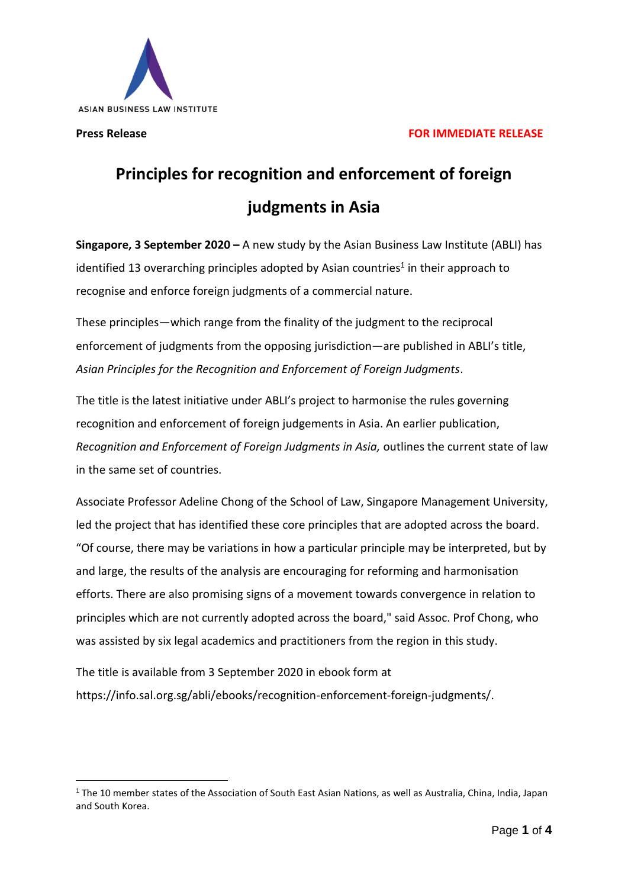

## **Press Release FOR IMMEDIATE RELEASE**

# **Principles for recognition and enforcement of foreign judgments in Asia**

**Singapore, 3 September 2020 –** A new study by the Asian Business Law Institute (ABLI) has identified 13 overarching principles adopted by Asian countries<sup>1</sup> in their approach to recognise and enforce foreign judgments of a commercial nature.

These principles—which range from the finality of the judgment to the reciprocal enforcement of judgments from the opposing jurisdiction—are published in ABLI's title, *Asian Principles for the Recognition and Enforcement of Foreign Judgments*.

The title is the latest initiative under ABLI's project to harmonise the rules governing recognition and enforcement of foreign judgements in Asia. An earlier publication, *Recognition and Enforcement of Foreign Judgments in Asia,* outlines the current state of law in the same set of countries.

Associate Professor Adeline Chong of the School of Law, Singapore Management University, led the project that has identified these core principles that are adopted across the board. "Of course, there may be variations in how a particular principle may be interpreted, but by and large, the results of the analysis are encouraging for reforming and harmonisation efforts. There are also promising signs of a movement towards convergence in relation to principles which are not currently adopted across the board," said Assoc. Prof Chong, who was assisted by six legal academics and practitioners from the region in this study.

The title is available from 3 September 2020 in ebook form at https://info.sal.org.sg/abli/ebooks/recognition-enforcement-foreign-judgments/.

 $1$  The 10 member states of the Association of South East Asian Nations, as well as Australia, China, India, Japan and South Korea.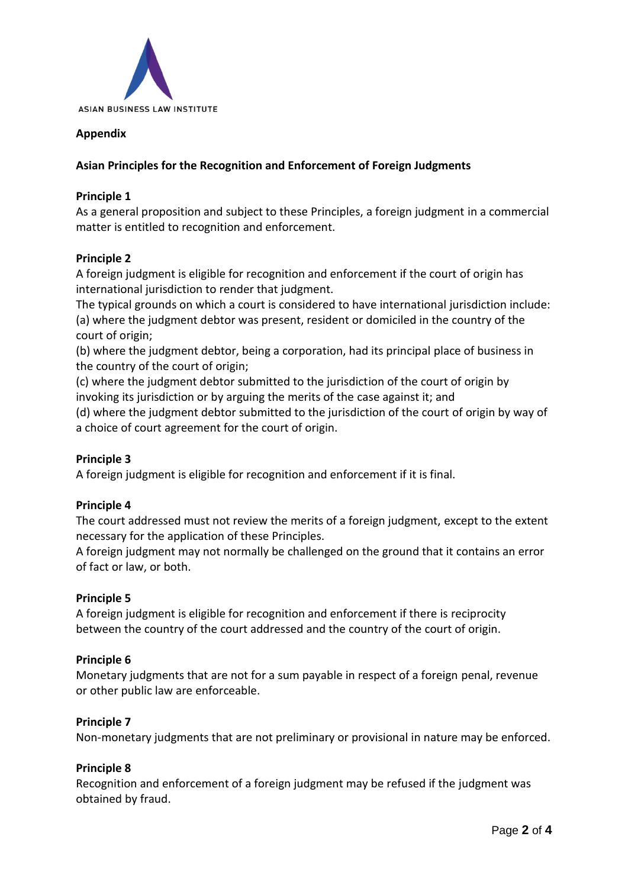

## **Appendix**

## **Asian Principles for the Recognition and Enforcement of Foreign Judgments**

## **Principle 1**

As a general proposition and subject to these Principles, a foreign judgment in a commercial matter is entitled to recognition and enforcement.

## **Principle 2**

A foreign judgment is eligible for recognition and enforcement if the court of origin has international jurisdiction to render that judgment.

The typical grounds on which a court is considered to have international jurisdiction include: (a) where the judgment debtor was present, resident or domiciled in the country of the court of origin;

(b) where the judgment debtor, being a corporation, had its principal place of business in the country of the court of origin;

(c) where the judgment debtor submitted to the jurisdiction of the court of origin by invoking its jurisdiction or by arguing the merits of the case against it; and

(d) where the judgment debtor submitted to the jurisdiction of the court of origin by way of a choice of court agreement for the court of origin.

## **Principle 3**

A foreign judgment is eligible for recognition and enforcement if it is final.

#### **Principle 4**

The court addressed must not review the merits of a foreign judgment, except to the extent necessary for the application of these Principles.

A foreign judgment may not normally be challenged on the ground that it contains an error of fact or law, or both.

#### **Principle 5**

A foreign judgment is eligible for recognition and enforcement if there is reciprocity between the country of the court addressed and the country of the court of origin.

#### **Principle 6**

Monetary judgments that are not for a sum payable in respect of a foreign penal, revenue or other public law are enforceable.

#### **Principle 7**

Non-monetary judgments that are not preliminary or provisional in nature may be enforced.

#### **Principle 8**

Recognition and enforcement of a foreign judgment may be refused if the judgment was obtained by fraud.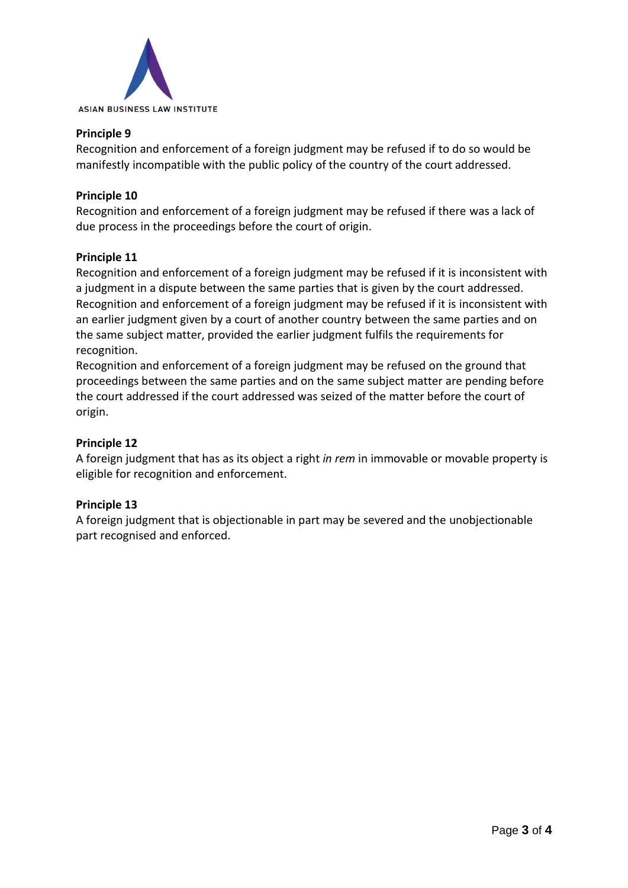

## **Principle 9**

Recognition and enforcement of a foreign judgment may be refused if to do so would be manifestly incompatible with the public policy of the country of the court addressed.

## **Principle 10**

Recognition and enforcement of a foreign judgment may be refused if there was a lack of due process in the proceedings before the court of origin.

#### **Principle 11**

Recognition and enforcement of a foreign judgment may be refused if it is inconsistent with a judgment in a dispute between the same parties that is given by the court addressed. Recognition and enforcement of a foreign judgment may be refused if it is inconsistent with an earlier judgment given by a court of another country between the same parties and on the same subject matter, provided the earlier judgment fulfils the requirements for recognition.

Recognition and enforcement of a foreign judgment may be refused on the ground that proceedings between the same parties and on the same subject matter are pending before the court addressed if the court addressed was seized of the matter before the court of origin.

## **Principle 12**

A foreign judgment that has as its object a right *in rem* in immovable or movable property is eligible for recognition and enforcement.

#### **Principle 13**

A foreign judgment that is objectionable in part may be severed and the unobjectionable part recognised and enforced.